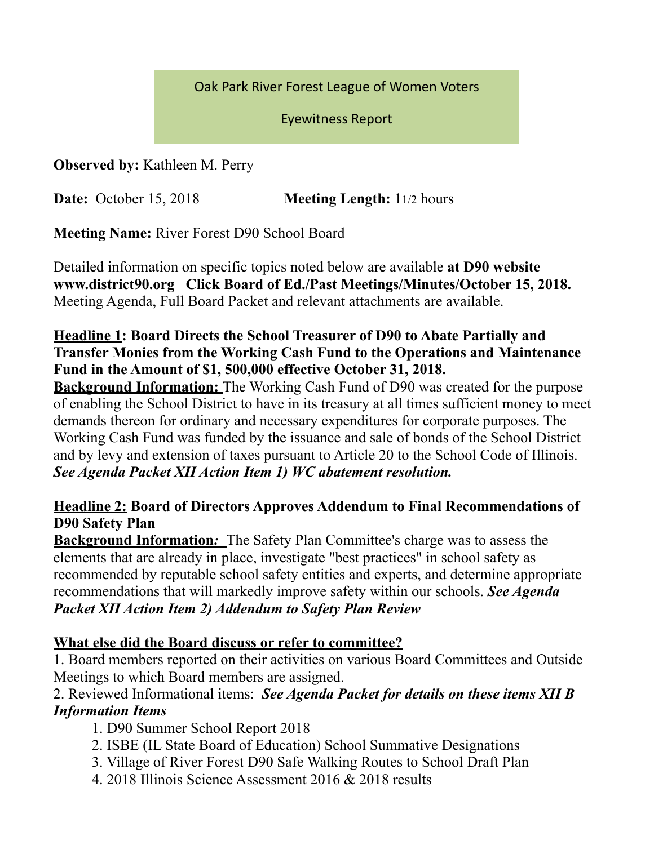Oak Park River Forest League of Women Voters

Eyewitness Report 

**Observed by:** Kathleen M. Perry

**Date:** October 15, 2018 **Meeting Length:** 11/2 hours

**Meeting Name:** River Forest D90 School Board

Detailed information on specific topics noted below are available **at D90 website www.district90.org Click Board of Ed./Past Meetings/Minutes/October 15, 2018.**  Meeting Agenda, Full Board Packet and relevant attachments are available.

## **Headline 1: Board Directs the School Treasurer of D90 to Abate Partially and Transfer Monies from the Working Cash Fund to the Operations and Maintenance Fund in the Amount of \$1, 500,000 effective October 31, 2018.**

**Background Information:** The Working Cash Fund of D90 was created for the purpose of enabling the School District to have in its treasury at all times sufficient money to meet demands thereon for ordinary and necessary expenditures for corporate purposes. The Working Cash Fund was funded by the issuance and sale of bonds of the School District and by levy and extension of taxes pursuant to Article 20 to the School Code of Illinois. *See Agenda Packet XII Action Item 1) WC abatement resolution.* 

## **Headline 2: Board of Directors Approves Addendum to Final Recommendations of D90 Safety Plan**

**Background Information***:* The Safety Plan Committee's charge was to assess the elements that are already in place, investigate "best practices" in school safety as recommended by reputable school safety entities and experts, and determine appropriate recommendations that will markedly improve safety within our schools. *See Agenda Packet XII Action Item 2) Addendum to Safety Plan Review*

## **What else did the Board discuss or refer to committee?**

1. Board members reported on their activities on various Board Committees and Outside Meetings to which Board members are assigned.

## 2. Reviewed Informational items: *See Agenda Packet for details on these items XII B Information Items*

- 1. D90 Summer School Report 2018
- 2. ISBE (IL State Board of Education) School Summative Designations
- 3. Village of River Forest D90 Safe Walking Routes to School Draft Plan
- 4. 2018 Illinois Science Assessment 2016 & 2018 results